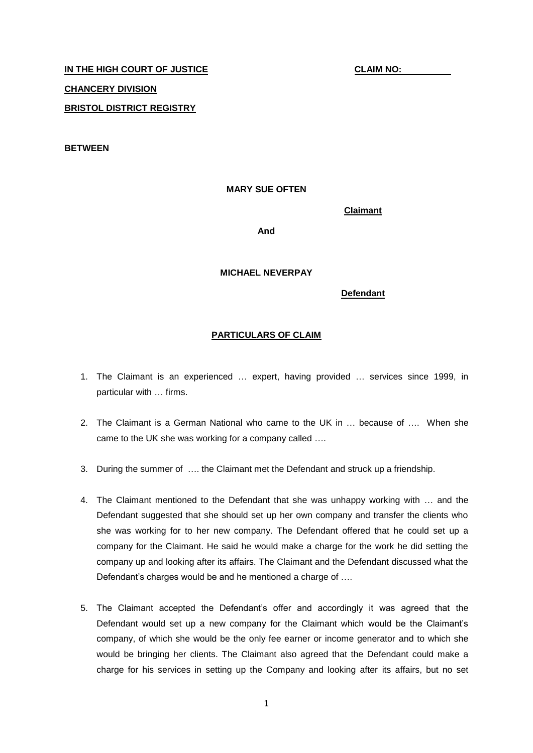# **IN THE HIGH COURT OF JUSTICE CLAIM NO: CHANCERY DIVISION BRISTOL DISTRICT REGISTRY**

**BETWEEN**

#### **MARY SUE OFTEN**

**Claimant**

**And**

#### **MICHAEL NEVERPAY**

**Defendant**

#### **PARTICULARS OF CLAIM**

- 1. The Claimant is an experienced … expert, having provided … services since 1999, in particular with … firms.
- 2. The Claimant is a German National who came to the UK in … because of …. When she came to the UK she was working for a company called ….
- 3. During the summer of …. the Claimant met the Defendant and struck up a friendship.
- 4. The Claimant mentioned to the Defendant that she was unhappy working with … and the Defendant suggested that she should set up her own company and transfer the clients who she was working for to her new company. The Defendant offered that he could set up a company for the Claimant. He said he would make a charge for the work he did setting the company up and looking after its affairs. The Claimant and the Defendant discussed what the Defendant's charges would be and he mentioned a charge of ….
- 5. The Claimant accepted the Defendant's offer and accordingly it was agreed that the Defendant would set up a new company for the Claimant which would be the Claimant's company, of which she would be the only fee earner or income generator and to which she would be bringing her clients. The Claimant also agreed that the Defendant could make a charge for his services in setting up the Company and looking after its affairs, but no set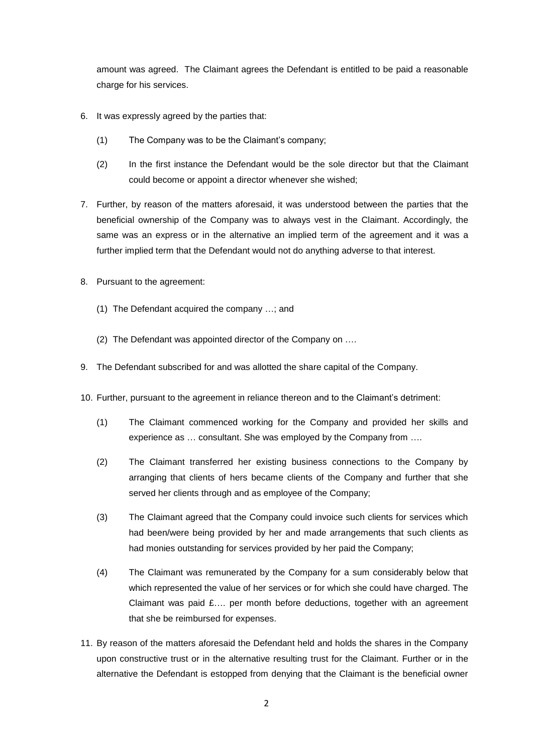amount was agreed. The Claimant agrees the Defendant is entitled to be paid a reasonable charge for his services.

- 6. It was expressly agreed by the parties that:
	- (1) The Company was to be the Claimant's company;
	- (2) In the first instance the Defendant would be the sole director but that the Claimant could become or appoint a director whenever she wished;
- 7. Further, by reason of the matters aforesaid, it was understood between the parties that the beneficial ownership of the Company was to always vest in the Claimant. Accordingly, the same was an express or in the alternative an implied term of the agreement and it was a further implied term that the Defendant would not do anything adverse to that interest.
- 8. Pursuant to the agreement:
	- (1) The Defendant acquired the company …; and
	- (2) The Defendant was appointed director of the Company on ….
- 9. The Defendant subscribed for and was allotted the share capital of the Company.
- 10. Further, pursuant to the agreement in reliance thereon and to the Claimant's detriment:
	- (1) The Claimant commenced working for the Company and provided her skills and experience as … consultant. She was employed by the Company from ….
	- (2) The Claimant transferred her existing business connections to the Company by arranging that clients of hers became clients of the Company and further that she served her clients through and as employee of the Company;
	- (3) The Claimant agreed that the Company could invoice such clients for services which had been/were being provided by her and made arrangements that such clients as had monies outstanding for services provided by her paid the Company;
	- (4) The Claimant was remunerated by the Company for a sum considerably below that which represented the value of her services or for which she could have charged. The Claimant was paid £…. per month before deductions, together with an agreement that she be reimbursed for expenses.
- 11. By reason of the matters aforesaid the Defendant held and holds the shares in the Company upon constructive trust or in the alternative resulting trust for the Claimant. Further or in the alternative the Defendant is estopped from denying that the Claimant is the beneficial owner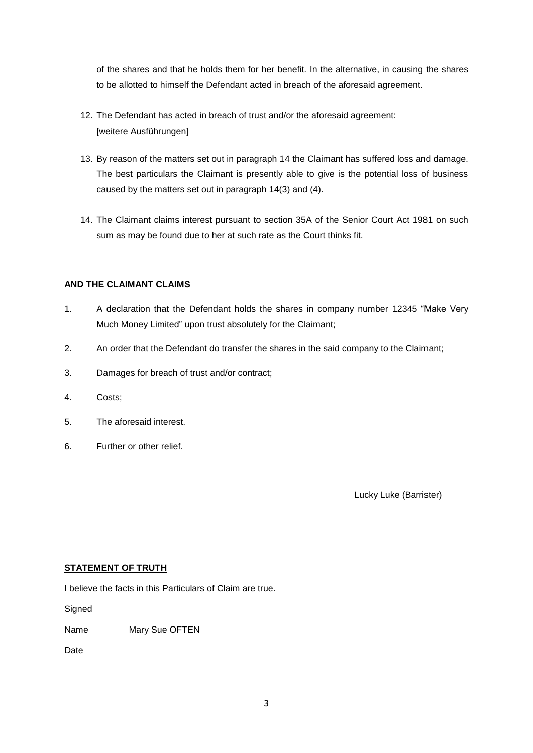of the shares and that he holds them for her benefit. In the alternative, in causing the shares to be allotted to himself the Defendant acted in breach of the aforesaid agreement.

- 12. The Defendant has acted in breach of trust and/or the aforesaid agreement: [weitere Ausführungen]
- 13. By reason of the matters set out in paragraph 14 the Claimant has suffered loss and damage. The best particulars the Claimant is presently able to give is the potential loss of business caused by the matters set out in paragraph 14(3) and (4).
- 14. The Claimant claims interest pursuant to section 35A of the Senior Court Act 1981 on such sum as may be found due to her at such rate as the Court thinks fit.

### **AND THE CLAIMANT CLAIMS**

- 1. A declaration that the Defendant holds the shares in company number 12345 "Make Very Much Money Limited" upon trust absolutely for the Claimant;
- 2. An order that the Defendant do transfer the shares in the said company to the Claimant;
- 3. Damages for breach of trust and/or contract;
- 4. Costs;
- 5. The aforesaid interest.
- 6. Further or other relief.

Lucky Luke (Barrister)

#### **STATEMENT OF TRUTH**

I believe the facts in this Particulars of Claim are true.

**Signed** 

Name Mary Sue OFTEN

Date